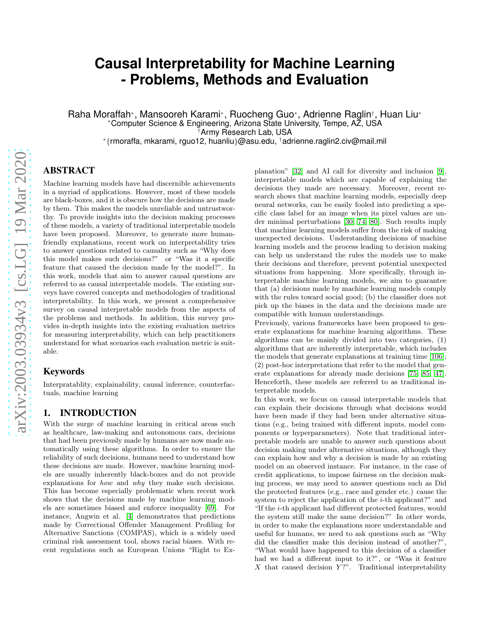# **Causal Interpretability for Machine Learning - Problems, Methods and Evaluation**

Raha Moraffah\*, Mansooreh Karami\*, Ruocheng Guo\*, Adrienne Raglin†, Huan Liu\* <sup>∗</sup>Computer Science & Engineering, Arizona State University, Tempe, AZ, USA †Army Research Lab, USA

∗ {rmoraffa, mkarami, rguo12, huanliu}@asu.edu, †adrienne.raglin2.civ@mail.mil

## ABSTRACT

Machine learning models have had discernible achievements in a myriad of applications. However, most of these models are black-boxes, and it is obscure how the decisions are made by them. This makes the models unreliable and untrustworthy. To provide insights into the decision making processes of these models, a variety of traditional interpretable models have been proposed. Moreover, to generate more humanfriendly explanations, recent work on interpretability tries to answer questions related to causality such as "Why does this model makes such decisions?" or "Was it a specific feature that caused the decision made by the model?". In this work, models that aim to answer causal questions are referred to as causal interpretable models. The existing surveys have covered concepts and methodologies of traditional interpretability. In this work, we present a comprehensive survey on causal interpretable models from the aspects of the problems and methods. In addition, this survey provides in-depth insights into the existing evaluation metrics for measuring interpretability, which can help practitioners understand for what scenarios each evaluation metric is suitable.

#### Keywords

Interpratablity, explainability, causal inference, counterfactuals, machine learning

## 1. INTRODUCTION

With the surge of machine learning in critical areas such as healthcare, law-making and autonomous cars, decisions that had been previously made by humans are now made automatically using these algorithms. In order to ensure the reliability of such decisions, humans need to understand how these decisions are made. However, machine learning models are usually inherently black-boxes and do not provide explanations for how and why they make such decisions. This has become especially problematic when recent work shows that the decisions made by machine learning models are sometimes biased and enforce inequality [\[69\]](#page-14-0). For instance, Angwin et al. [\[4\]](#page-11-0) demonstrates that predictions made by Correctional Offender Management Profiling for Alternative Sanctions (COMPAS), which is a widely used criminal risk assessment tool, shows racial biases. With recent regulations such as European Unions "Right to Explanation" [\[32\]](#page-12-0) and AI call for diversity and inclusion [\[9\]](#page-11-1), interpretable models which are capable of explaining the decisions they made are necessary. Moreover, recent research shows that machine learning models, especially deep neural networks, can be easily fooled into predicting a specific class label for an image when its pixel values are under minimal perturbations [\[30;](#page-12-1) 74; 80]. Such results imply that machine learning models suffer from the risk of making unexpected decisions. Understanding decisions of machine learning models and the process leading to decision making can help us understand the rules the models use to make their decisions and therefore, prevent potential unexpected situations from happening. More specifically, through interpretable machine learning models, we aim to guarantee that (a) decisions made by machine learning models comply with the rules toward social good; (b) the classifier does not pick up the biases in the data and the decisions made are compatible with human understandings.

Previously, various frameworks have been proposed to generate explanations for machine learning algorithms. These algorithms can be mainly divided into two categories, (1) algorithms that are inherently interpretable, which includes the models that generate explanations at training time [\[106\]](#page-15-0); (2) post-hoc interpretations that refer to the model that generate explanations for already made decisions [\[75;](#page-14-1) [85;](#page-14-2) [47\]](#page-13-0). Henceforth, these models are referred to as traditional interpretable models.

In this work, we focus on causal interpretable models that can explain their decisions through what decisions would have been made if they had been under alternative situations (e.g., being trained with different inputs, model components or hyperparameters). Note that traditional interpretable models are unable to answer such questions about decision making under alternative situations, although they can explain how and why a decision is made by an existing model on an observed instance. For instance, in the case of credit applications, to impose fairness on the decision making process, we may need to answer questions such as Did the protected features (e.g., race and gender etc.) cause the system to reject the application of the *i*-th applicant?" and "If the i-th applicant had different protected features, would the system still make the same decision?" In other words, in order to make the explanations more understandable and useful for humans, we need to ask questions such as "Why did the classifier make this decision instead of another?". "What would have happened to this decision of a classifier had we had a different input to it?", or "Was it feature X that caused decision  $Y$ ?". Traditional interpretability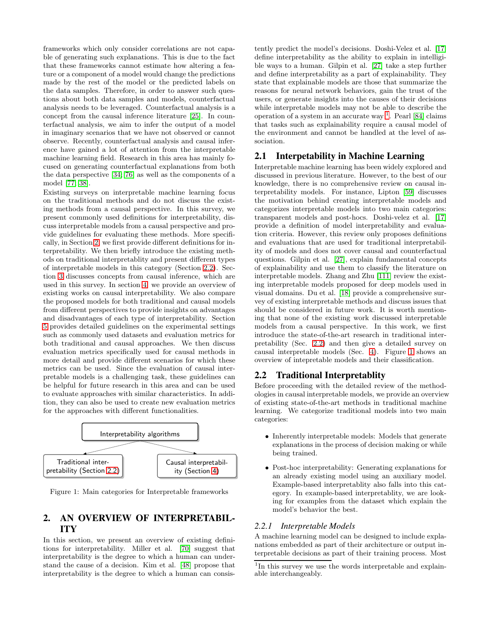frameworks which only consider correlations are not capable of generating such explanations. This is due to the fact that these frameworks cannot estimate how altering a feature or a component of a model would change the predictions made by the rest of the model or the predicted labels on the data samples. Therefore, in order to answer such questions about both data samples and models, counterfactual analysis needs to be leveraged. Counterfactual analysis is a concept from the causal inference literature [\[25\]](#page-12-2). In counterfactual analysis, we aim to infer the output of a model in imaginary scenarios that we have not observed or cannot observe. Recently, counterfactual analysis and causal inference have gained a lot of attention from the interpretable machine learning field. Research in this area has mainly focused on generating counterfactual explanations from both the data perspective [34; 76] as well as the components of a model [77; 38].

Existing surveys on interpretable machine learning focus on the traditional methods and do not discuss the existing methods from a causal perspective. In this survey, we present commonly used definitions for interpretability, discuss interpretable models from a causal perspective and provide guidelines for evaluating these methods. More specifically, in Section [2,](#page-1-0) we first provide different definitions for interpretability. We then briefly introduce the existing methods on traditional interpretablity and present different types of interpretable models in this category (Section [2.2\)](#page-1-1). Section [3](#page-4-0) discusses concepts from causal inference, which are used in this survey. In section [4,](#page-4-1) we provide an overview of existing works on causal interpretability. We also compare the proposed models for both traditional and causal models from different perspectives to provide insights on advantages and disadvantages of each type of interpretability. Section [5](#page-7-0) provides detailed guidelines on the experimental settings such as commonly used datasets and evaluation metrics for both traditional and causal approaches. We then discuss evaluation metrics specifically used for causal methods in more detail and provide different scenarios for which these metrics can be used. Since the evaluation of causal interpretable models is a challenging task, these guidelines can be helpful for future research in this area and can be used to evaluate approaches with similar characteristics. In addition, they can also be used to create new evaluation metrics for the approaches with different functionalities.



<span id="page-1-3"></span>Figure 1: Main categories for Interpretable frameworks

## <span id="page-1-0"></span>2. AN OVERVIEW OF INTERPRETABIL-ITY

In this section, we present an overview of existing definitions for interpretability. Miller et al. [70] suggest that interpretability is the degree to which a human can understand the cause of a decision. Kim et al. [48] propose that interpretability is the degree to which a human can consistently predict the model's decisions. Doshi-Velez et al. [\[17\]](#page-12-3) define interpretability as the ability to explain in intelligible ways to a human. Gilpin et al. [\[27\]](#page-12-4) take a step further and define interpretability as a part of explainability. They state that explainable models are those that summarize the reasons for neural network behaviors, gain the trust of the users, or generate insights into the causes of their decisions while interpretable models may not be able to describe the operation of a system in an accurate way  $\frac{1}{1}$  $\frac{1}{1}$  $\frac{1}{1}$ . Pearl [\[84\]](#page-14-3) claims that tasks such as explainability require a causal model of the environment and cannot be handled at the level of association.

#### 2.1 Interpetability in Machine Learning

Interpretable machine learning has been widely explored and discussed in previous literature. However, to the best of our knowledge, there is no comprehensive review on causal interpretability models. For instance, Lipton [59] discusses the motivation behind creating interpretable models and categorizes interpretable models into two main categories: transparent models and post-hocs. Doshi-velez et al. [\[17\]](#page-12-3) provide a definition of model interpretability and evaluation criteria. However, this review only proposes definitions and evaluations that are used for traditional interpretability of models and does not cover causal and counterfactual questions. Gilpin et al. [\[27\]](#page-12-4), explain fundamental concepts of explainability and use them to classify the literature on interpretable models. Zhang and Zhu [\[111\]](#page-15-1) review the existing interpretable models proposed for deep models used in visual domains. Du et al. [\[18\]](#page-12-5) provide a comprehensive survey of existing interpretable methods and discuss issues that should be considered in future work. It is worth mentioning that none of the existing work discussed interpretable models from a causal perspective. In this work, we first introduce the state-of-the-art research in traditional interpretability (Sec. [2.2\)](#page-1-1) and then give a detailed survey on causal interpretable models (Sec. [4\)](#page-4-1). Figure [1](#page-1-3) shows an overview of intepretable models and their classification.

## <span id="page-1-1"></span>2.2 Traditional Interpretablity

Before proceeding with the detailed review of the methodologies in causal interpretable models, we provide an overview of existing state-of-the-art methods in traditional machine learning. We categorize traditional models into two main categories:

- Inherently interpretable models: Models that generate explanations in the process of decision making or while being trained.
- Post-hoc interpretability: Generating explanations for an already existing model using an auxiliary model. Example-based interpretablity also falls into this category. In example-based interpretablity, we are looking for examples from the dataset which explain the model's behavior the best.

#### <span id="page-1-4"></span>*2.2.1 Interpretable Models*

A machine learning model can be designed to include explanations embedded as part of their architecture or output interpretable decisions as part of their training process. Most

<span id="page-1-2"></span><sup>&</sup>lt;sup>1</sup>In this survey we use the words interpretable and explainable interchangeably.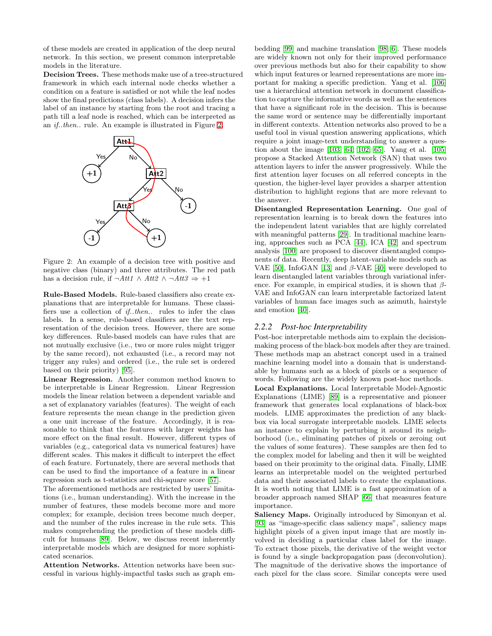of these models are created in application of the deep neural network. In this section, we present common interpretable models in the literature.

Decision Trees. These methods make use of a tree-structured framework in which each internal node checks whether a condition on a feature is satisfied or not while the leaf nodes show the final predictions (class labels). A decision infers the label of an instance by starting from the root and tracing a path till a leaf node is reached, which can be interpreted as an if..then.. rule. An example is illustrated in Figure [2.](#page-2-0)



<span id="page-2-0"></span>Figure 2: An example of a decision tree with positive and negative class (binary) and three attributes. The red path has a decision rule, if  $\neg Att1 \wedge Att2 \wedge \neg Att3 \Rightarrow +1$ 

Rule-Based Models. Rule-based classifiers also create explanations that are interpretable for humans. These classifiers use a collection of if..then.. rules to infer the class labels. In a sense, rule-based classifiers are the text representation of the decision trees. However, there are some key differences. Rule-based models can have rules that are not mutually exclusive (i.e., two or more rules might trigger by the same record), not exhausted (i.e., a record may not trigger any rules) and ordered (i.e., the rule set is ordered based on their priority) [\[95\]](#page-14-4).

Linear Regression. Another common method known to be interpretable is Linear Regression. Linear Regression models the linear relation between a dependent variable and a set of explanatory variables (features). The weight of each feature represents the mean change in the prediction given a one unit increase of the feature. Accordingly, it is reasonable to think that the features with larger weights has more effect on the final result. However, different types of variables (e.g., categorical data vs numerical features) have different scales. This makes it difficult to interpret the effect of each feature. Fortunately, there are several methods that can be used to find the importance of a feature in a linear regression such as t-statistics and chi-square score [\[57\]](#page-13-1).

The aforementioned methods are restricted by users' limitations (i.e., human understanding). With the increase in the number of features, these models become more and more complex; for example, decision trees become much deeper, and the number of the rules increase in the rule sets. This makes comprehending the prediction of these models difficult for humans [\[89\]](#page-14-5). Below, we discuss recent inherently interpretable models which are designed for more sophisticated scenarios.

Attention Networks. Attention networks have been successful in various highly-impactful tasks such as graph embedding [\[99\]](#page-14-6) and machine translation [\[98;](#page-14-7) [6\]](#page-11-2). These models are widely known not only for their improved performance over previous methods but also for their capability to show which input features or learned representations are more important for making a specific prediction. Yang et al. [\[106\]](#page-15-0) use a hierarchical attention network in document classification to capture the informative words as well as the sentences that have a significant role in the decision. This is because the same word or sentence may be differentially important in different contexts. Attention networks also proved to be a useful tool in visual question answering applications, which require a joint image-text understanding to answer a question about the image [\[103;](#page-15-2) [64;](#page-13-2) [102;](#page-15-3) [65\]](#page-13-3). Yang et al. [\[105\]](#page-15-4) propose a Stacked Attention Network (SAN) that uses two attention layers to infer the answer progressively. While the first attention layer focuses on all referred concepts in the question, the higher-level layer provides a sharper attention distribution to highlight regions that are more relevant to the answer.

Disentangled Representation Learning. One goal of representation learning is to break down the features into the independent latent variables that are highly correlated with meaningful patterns [\[29\]](#page-12-6). In traditional machine learning, approaches such as PCA [\[44\]](#page-13-4), ICA [\[42\]](#page-13-5) and spectrum analysis [\[100\]](#page-14-8) are proposed to discover disentangled components of data. Recently, deep latent-variable models such as VAE [\[50\]](#page-13-6), InfoGAN [\[13\]](#page-12-7) and  $\beta$ -VAE [\[40\]](#page-13-7) were developed to learn disentangled latent variables through variational inference. For example, in empirical studies, it is shown that  $\beta$ -VAE and InfoGAN can learn interpretable factorized latent variables of human face images such as azimuth, hairstyle and emotion [\[40\]](#page-13-7).

#### *2.2.2 Post-hoc Interpretability*

Post-hoc interpretable methods aim to explain the decisionmaking process of the black-box models after they are trained. These methods map an abstract concept used in a trained machine learning model into a domain that is understandable by humans such as a block of pixels or a sequence of words. Following are the widely known post-hoc methods. Local Explanations. Local Interpretable Model-Agnostic

Explanations (LIME) [\[89\]](#page-14-5) is a representative and pioneer framework that generates local explanations of black-box models. LIME approximates the prediction of any blackbox via local surrogate interpretable models. LIME selects an instance to explain by perturbing it around its neighborhood (i.e., eliminating patches of pixels or zeroing out the values of some features). These samples are then fed to the complex model for labeling and then it will be weighted based on their proximity to the original data. Finally, LIME learns an interpretable model on the weighted perturbed data and their associated labels to create the explanations. It is worth noting that LIME is a fast approximation of a broader approach named SHAP [\[66\]](#page-13-8) that measures feature importance.

Saliency Maps. Originally introduced by Simonyan et al. [\[93\]](#page-14-9) as "image-specific class saliency maps", saliency maps highlight pixels of a given input image that are mostly involved in deciding a particular class label for the image. To extract those pixels, the derivative of the weight vector is found by a single backpropagation pass (deconvolution). The magnitude of the derivative shows the importance of each pixel for the class score. Similar concepts were used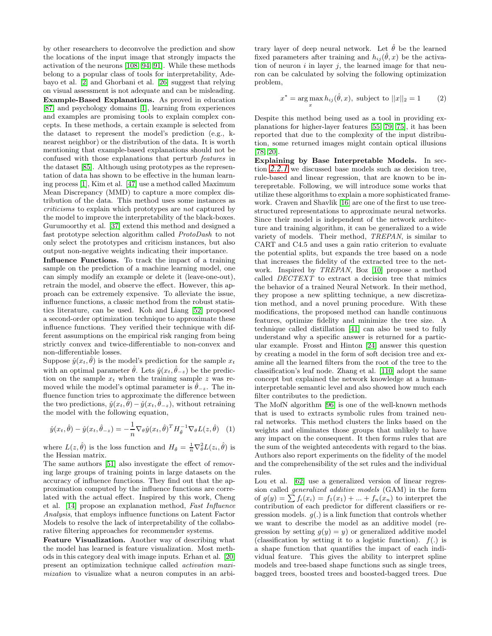by other researchers to deconvolve the prediction and show the locations of the input image that strongly impacts the activation of the neurons [\[108;](#page-15-5) [94;](#page-14-10) [91\]](#page-14-11). While these methods belong to a popular class of tools for interpretability, Adebayo et al. [\[2\]](#page-11-3) and Ghorbani et al. [\[26\]](#page-12-8) suggest that relying on visual assessment is not adequate and can be misleading. Example-Based Explanations. As proved in education [\[87\]](#page-14-12) and psychology domains [\[1\]](#page-11-4), learning from experiences and examples are promising tools to explain complex concepts. In these methods, a certain example is selected from the dataset to represent the model's prediction (e.g., knearest neighbor) or the distribution of the data. It is worth mentioning that example-based explanations should not be confused with those explanations that perturb features in the dataset [\[85\]](#page-14-2). Although using prototypes as the representation of data has shown to be effective in the human learning process [\[1\]](#page-11-4), Kim et al. [\[47\]](#page-13-0) use a method called Maximum Mean Discrepancy (MMD) to capture a more complex distribution of the data. This method uses some instances as criticisms to explain which prototypes are not captured by the model to improve the interpretability of the black-boxes. Gurumoorthy et al. [\[37\]](#page-12-9) extend this method and designed a fast prototype selection algorithm called ProtoDash to not only select the prototypes and criticism instances, but also output non-negative weights indicating their importance.

Influence Functions. To track the impact of a training sample on the prediction of a machine learning model, one can simply modify an example or delete it (leave-one-out), retrain the model, and observe the effect. However, this approach can be extremely expensive. To alleviate the issue, influence functions, a classic method from the robust statistics literature, can be used. Koh and Liang [\[52\]](#page-13-9) proposed a second-order optimization technique to approximate these influence functions. They verified their technique with different assumptions on the empirical risk ranging from being strictly convex and twice-differentiable to non-convex and non-differentiable losses.

Suppose  $\hat{y}(x_t, \hat{\theta})$  is the model's prediction for the sample  $x_t$ with an optimal parameter  $\hat{\theta}$ . Lets  $\hat{y}(x_t, \hat{\theta}_{-z})$  be the prediction on the sample  $x_t$  when the training sample z was removed while the model's optimal parameter is  $\theta_{-z}$ . The influence function tries to approximate the difference between the two predictions,  $\hat{y}(x_t, \hat{\theta}) - \hat{y}(x_t, \hat{\theta}_{-z})$ , without retraining the model with the following equation,

$$
\hat{y}(x_t, \hat{\theta}) - \hat{y}(x_t, \hat{\theta}_{-z}) = -\frac{1}{n} \nabla_{\theta} \hat{y}(x_t, \hat{\theta})^T H_{\hat{\theta}}^{-1} \nabla_{\theta} L(z, \hat{\theta}) \quad (1)
$$

where  $L(z, \hat{\theta})$  is the loss function and  $H_{\hat{\theta}} = \frac{1}{n} \nabla_{\theta}^2 L(z_i, \hat{\theta})$  is the Hessian matrix.

The same authors [\[51\]](#page-13-10) also investigate the effect of removing large groups of training points in large datasets on the accuracy of influence functions. They find out that the approximation computed by the influence functions are correlated with the actual effect. Inspired by this work, Cheng et al. [\[14\]](#page-12-10) propose an explanation method, Fast Influence Analysis, that employs influence functions on Latent Factor Models to resolve the lack of interpretability of the collaborative filtering approaches for recommender systems.

Feature Visualization. Another way of describing what the model has learned is feature visualization. Most methods in this category deal with image inputs. Erhan et al. [\[20\]](#page-12-11) present an optimization technique called activation maximization to visualize what a neuron computes in an arbitrary layer of deep neural network. Let  $\hat{\theta}$  be the learned fixed parameters after training and  $h_{ij}(\hat{\theta},x)$  be the activation of neuron  $i$  in layer  $j$ , the learned image for that neuron can be calculated by solving the following optimization problem,

$$
x^* = \underset{x}{\arg\max} h_{ij}(\hat{\theta}, x), \text{ subject to } ||x||_2 = 1 \qquad (2)
$$

Despite this method being used as a tool in providing explanations for higher-layer features [\[55;](#page-13-11) [79;](#page-14-13) [75\]](#page-14-1), it has been reported that due to the complexity of the input distribution, some returned images might contain optical illusions [\[78;](#page-14-14) [20\]](#page-12-11).

Explaining by Base Interpretable Models. In section *[2.2.1](#page-1-4)* we discussed base models such as decision tree, rule-based and linear regression, that are known to be interepretable. Following, we will introduce some works that utilize these algorithms to explain a more sophisticated framework. Craven and Shavlik [\[16\]](#page-12-12) are one of the first to use treestructured representations to approximate neural networks. Since their model is independent of the network architecture and training algorithm, it can be generalized to a wide variety of models. Their method, TREPAN, is similar to CART and C4.5 and uses a gain ratio criterion to evaluate the potential splits, but expands the tree based on a node that increases the fidelity of the extracted tree to the network. Inspired by TREPAN, Boz [\[10\]](#page-11-5) propose a method called DECTEXT to extract a decision tree that mimics the behavior of a trained Neural Network. In their method, they propose a new splitting technique, a new discretization method, and a novel pruning procedure. With these modifications, the proposed method can handle continuous features, optimize fidelity and minimize the tree size. A technique called distillation [\[41\]](#page-13-12) can also be used to fully understand why a specific answer is returned for a particular example. Frosst and Hinton [\[24\]](#page-12-13) answer this question by creating a model in the form of soft decision tree and examine all the learned filters from the root of the tree to the classification's leaf node. Zhang et al. [\[110\]](#page-15-6) adopt the same concept but explained the network knowledge at a humaninterpretable semantic level and also showed how much each filter contributes to the prediction.

The MofN algorithm [\[96\]](#page-14-15) is one of the well-known methods that is used to extracts symbolic rules from trained neural networks. This method clusters the links based on the weights and eliminates those groups that unlikely to have any impact on the consequent. It then forms rules that are the sum of the weighted antecedents with regard to the bias. Authors also report experiments on the fidelity of the model and the comprehensibility of the set rules and the individual rules.

Lou et al. [\[62\]](#page-13-13) use a generalized version of linear regression called generalized additive models (GAM) in the form of  $g(y) = \sum f_i(x_i) = f_1(x_1) + ... + f_n(x_n)$  to interpret the contribution of each predictor for different classifiers or regression models.  $g(.)$  is a link function that controls whether we want to describe the model as an additive model (regression by setting  $g(y) = y$  or generalized additive model (classification by setting it to a logistic function).  $f(.)$  is a shape function that quantifies the impact of each individual feature. This gives the ability to interpret spline models and tree-based shape functions such as single trees, bagged trees, boosted trees and boosted-bagged trees. Due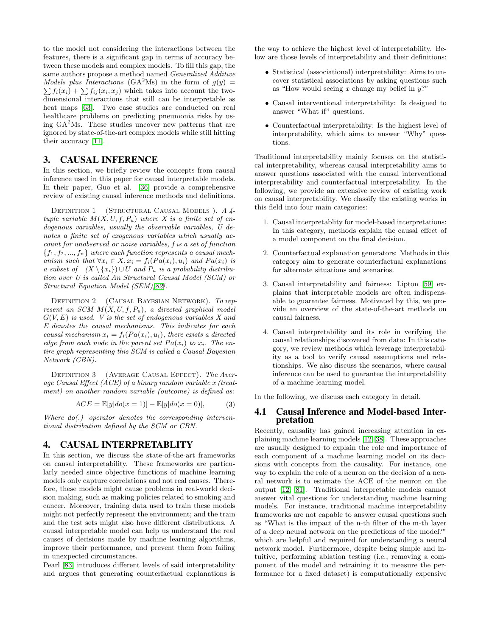to the model not considering the interactions between the features, there is a significant gap in terms of accuracy between these models and complex models. To fill this gap, the same authors propose a method named Generalized Additive Models plus Interactions (GA<sup>2</sup>Ms) in the form of  $g(y) =$  $\sum f_i(x_i) + \sum f_{ij}(x_i, x_j)$  which takes into account the twodimensional interactions that still can be interpretable as heat maps [\[63\]](#page-13-14). Two case studies are conducted on real healthcare problems on predicting pneumonia risks by using  $GA<sup>2</sup>Ms$ . These studies uncover new patterns that are ignored by state-of-the-art complex models while still hitting their accuracy [\[11\]](#page-12-14).

## <span id="page-4-0"></span>3. CAUSAL INFERENCE

In this section, we briefly review the concepts from causal inference used in this paper for causal interpretable models. In their paper, Guo et al. [\[36\]](#page-12-15) provide a comprehensive review of existing causal inference methods and definitions.

DEFINITION 1 (STRUCTURAL CAUSAL MODELS). A 4tuple variable  $M(X, U, f, P_u)$  where X is a finite set of endogenous variables, usually the observable variables, U denotes a finite set of exogenous variables which usually account for unobserved or noise variables, f is a set of function  ${f_1, f_2, ..., f_n}$  where each function represents a causal mechanism such that  $\forall x_i \in X, x_i = f_i(Pa(x_i), u_i)$  and  $Pa(x_i)$  is a subset of  $(X \setminus \{x_i\}) \cup U$  and  $P_u$  is a probability distribution over U is called An Structural Causal Model (SCM) or Structural Equation Model (SEM)[\[82\]](#page-14-16).

DEFINITION 2 (CAUSAL BAYESIAN NETWORK). To represent an SCM  $M(X, U, f, P_u)$ , a directed graphical model  $G(V, E)$  is used. V is the set of endogenous variables X and E denotes the causal mechanisms. This indicates for each causal mechanism  $x_i = f_i(Pa(x_i), u_i)$ , there exists a directed edge from each node in the parent set  $Pa(x_i)$  to  $x_i$ . The entire graph representing this SCM is called a Causal Bayesian Network (CBN).

DEFINITION 3 (AVERAGE CAUSAL EFFECT). The Average Causal Effect (ACE) of a binary random variable x (treatment) on another random variable (outcome) is defined as:

$$
ACE = \mathbb{E}[y|do(x=1)] - \mathbb{E}[y|do(x=0)],
$$
 (3)

Where  $do(.)$  operator denotes the corresponding interventional distribution defined by the SCM or CBN.

#### <span id="page-4-1"></span>4. CAUSAL INTERPRETABLITY

In this section, we discuss the state-of-the-art frameworks on causal interpretability. These frameworks are particularly needed since objective functions of machine learning models only capture correlations and not real causes. Therefore, these models might cause problems in real-world decision making, such as making policies related to smoking and cancer. Moreover, training data used to train these models might not perfectly represent the environment; and the train and the test sets might also have different distributions. A causal interpretable model can help us understand the real causes of decisions made by machine learning algorithms, improve their performance, and prevent them from failing in unexpected circumstances.

Pearl [83] introduces different levels of said interpretability and argues that generating counterfactual explanations is the way to achieve the highest level of interpretability. Below are those levels of interpretability and their definitions:

- Statistical (associational) interpretability: Aims to uncover statistical associations by asking questions such as "How would seeing x change my belief in  $y$ ?"
- Causal interventional interpretability: Is designed to answer "What if" questions.
- Counterfactual interpretability: Is the highest level of interpretability, which aims to answer "Why" questions.

Traditional interpretability mainly focuses on the statistical interpretability, whereas causal interpretability aims to answer questions associated with the causal interventional interpretability and counterfactual interpretability. In the following, we provide an extensive review of existing work on causal interpretability. We classify the existing works in this field into four main categories:

- 1. Causal interpretablity for model-based interpretations: In this category, methods explain the causal effect of a model component on the final decision.
- 2. Counterfactual explanation generators: Methods in this category aim to generate counterfactual explanations for alternate situations and scenarios.
- 3. Causal interpretability and fairness: Lipton [59] explains that interpretable models are often indispensable to guarantee fairness. Motivated by this, we provide an overview of the state-of-the-art methods on causal fairness.
- 4. Causal interpretability and its role in verifying the causal relationships discovered from data: In this category, we review methods which leverage interpretability as a tool to verify causal assumptions and relationships. We also discuss the scenarios, where causal inference can be used to guarantee the interpretability of a machine learning model.

In the following, we discuss each category in detail.

#### 4.1 Causal Inference and Model-based Interpretation

Recently, causality has gained increasing attention in explaining machine learning models [12; 38]. These approaches are usually designed to explain the role and importance of each component of a machine learning model on its decisions with concepts from the causality. For instance, one way to explain the role of a neuron on the decision of a neural network is to estimate the ACE of the neuron on the output [12; [81\]](#page-14-17). Traditional interpretable models cannot answer vital questions for understanding machine learning models. For instance, traditional machine interpretability frameworks are not capable to answer causal questions such as "What is the impact of the n-th filter of the m-th layer of a deep neural network on the predictions of the model?" which are helpful and required for understanding a neural network model. Furthermore, despite being simple and intuitive, performing ablation testing (i.e., removing a component of the model and retraining it to measure the performance for a fixed dataset) is computationally expensive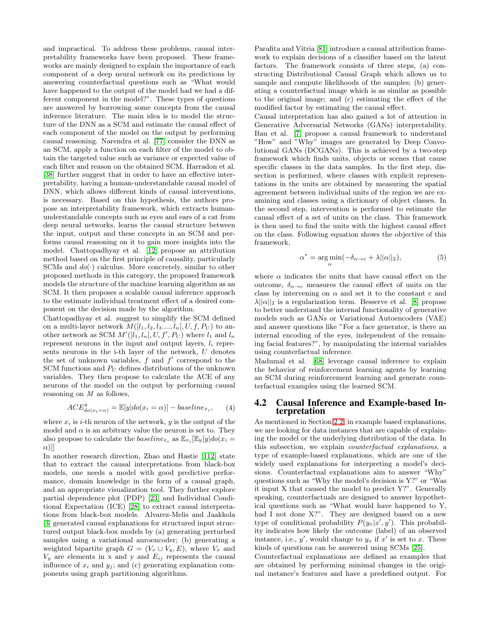and impractical. To address these problems, causal interpretability frameworks have been proposed. These frameworks are mainly designed to explain the importance of each component of a deep neural network on its predictions by answering counterfactual questions such as "What would have happened to the output of the model had we had a different component in the model?". These types of questions are answered by borrowing some concepts from the causal inference literature. The main idea is to model the structure of the DNN as a SCM and estimate the causal effect of each component of the model on the output by performing causal reasoning. Narendra et al. [77] consider the DNN as an SCM, apply a function on each filter of the model to obtain the targeted value such as variance or expected value of each filter and reason on the obtained SCM. Harradon et al. [38] further suggest that in order to have an effective interpretability, having a human-understandable causal model of DNN, which allows different kinds of causal interventions, is necessary. Based on this hypothesis, the authors propose an interpretability framework, which extracts humanunderstandable concepts such as eyes and ears of a cat from deep neural networks, learns the causal structure between the input, output and these concepts in an SCM and performs causal reasoning on it to gain more insights into the model. Chattopadhyay et al. [12] propose an attribution method based on the first principle of causality, particularly SCMs and  $do(\cdot)$  calculus. More concretely, similar to other proposed methods in this category, the proposed framework models the structure of the machine learning algorithm as an SCM. It then proposes a scalable causal inference approach to the estimate individual treatment effect of a desired component on the decision made by the algorithm.

Chattopadhyay et al. suggest to simplify the SCM defined on a multi-layer network  $M([l_1, l_2, l_3, \ldots, l_n], U, f, P_U)$  to another network as SCM  $M'([l_1, l_n], U, f', P_U)$  where  $l_1$  and  $l_n$ represent neurons in the input and output layers,  $l_i$  represents neurons in the i-th layer of the network, U denotes the set of unknown variables,  $f$  and  $f'$  correspond to the SCM functions and  $P_U$  defines distributions of the unknown variables. They then propose to calculate the ACE of any neurons of the model on the output by performing causal reasoning on  $M$  as follows,

$$
ACE_{do(x_i=\alpha)}^y = \mathbb{E}[y|do(x_i=\alpha)] - baseline_{x_i}, \qquad (4)
$$

where  $x_i$  is *i*-th neuron of the network,  $y$  is the output of the model and  $\alpha$  is an arbitrary value the neuron is set to. They also propose to calculate the *baseline<sub>x<sub>i</sub></sub>* as  $\mathbb{E}_{x_i}[\mathbb{E}_y[y]do(x_i =$  $\alpha$ )]]

In another research direction, Zhao and Hastie [\[112\]](#page-15-7) state that to extract the causal interpretations from black-box models, one needs a model with good predictive performance, domain knowledge in the form of a causal graph, and an appropriate visualization tool. They further explore partial dependence plot (PDP) [\[23\]](#page-12-16) and Individual Conditional Expectation (ICE) [\[28\]](#page-12-17) to extract causal interpretations from black-box models. Alvarez-Melis and Jaakkola [\[3\]](#page-11-6) generated causal explanations for structured input structured output black-box models by (a) generating perturbed samples using a variational auroencoder; (b) generating a weighted bipartite graph  $G = (V_x \cup V_y, E)$ , where  $V_x$  and  $V_y$  are elements in x and y and  $E_{ij}$  represents the causal influence of  $x_i$  and  $y_j$ ; and (c) generating explanation components using graph partitioning algorithms.

Parafita and Vitria [\[81\]](#page-14-17) introduce a causal attribution framework to explain decisions of a classifier based on the latent factors. The framework consists of three steps, (a) constructing Distributional Causal Graph which allows us to sample and compute likelihoods of the samples; (b) generating a counterfactual image which is as similar as possible to the original image; and (c) estimating the effect of the modified factor by estimating the causal effect.

Causal interpretation has also gained a lot of attention in Generative Adversarial Networks (GANs) interpretability. Bau et al. [7] propose a causal framework to understand "How" and "Why" images are generated by Deep Convolutional GANs (DCGANs). This is achieved by a two-step framework which finds units, objects or scenes that cause specific classes in the data samples. In the first step, dissection is performed, where classes with explicit representations in the units are obtained by measuring the spatial agreement between individual units of the region we are examining and classes using a dictionary of object classes. In the second step, intervention is performed to estimate the causal effect of a set of units on the class. This framework is then used to find the units with the highest causal effect on the class. Following equation shows the objective of this framework,

$$
\alpha^* = \arg\min_{\alpha} (-\delta_{\alpha \to c} + \lambda ||\alpha||_2),\tag{5}
$$

where  $\alpha$  indicates the units that have causal effect on the outcome,  $\delta_{\alpha \to c}$  measures the causal effect of units on the class by intervening on  $\alpha$  and set it to the constant c and  $\lambda ||\alpha||_2$  is a regularization term. Besserve et al. [8] propose to better understand the internal functionality of generative models such as GANs or Variational Autoencoders (VAE) and answer questions like "For a face generator, is there an internal encoding of the eyes, independent of the remaining facial features?", by manipulating the internal variables using counterfactual inference.

Madumal et al. [68] leverage causal inference to explain the behavior of reinforcement learning agents by learning an SCM during reinforcement learning and generate counterfactual examples using the learned SCM.

#### 4.2 Causal Inference and Example-based Interpretation

As mentioned in Section [2.2,](#page-1-1) in example based explanations, we are looking for data instances that are capable of explaining the model or the underlying distribution of the data. In this subsection, we explain counterfactual explanations, a type of example-based explanations, which are one of the widely used explanations for interpreting a model's decisions. Counterfactual explanations aim to answer "Why" questions such as "Why the model's decision is Y?" or "Was it input X that caused the model to predict Y?". Generally speaking, counterfactuals are designed to answer hypothetical questions such as "What would have happened to Y, had I not done X?". They are designed based on a new type of conditional probability  $P(y_x|x', y')$ . This probability indicates how likely the outcome (label) of an observed instance, i.e.,  $y'$ , would change to  $y_x$  if  $x'$  is set to  $x$ . These kinds of questions can be answered using SCMs [\[25\]](#page-12-2).

Counterfactual explanations are defined as examples that are obtained by performing minimal changes in the original instance's features and have a predefined output. For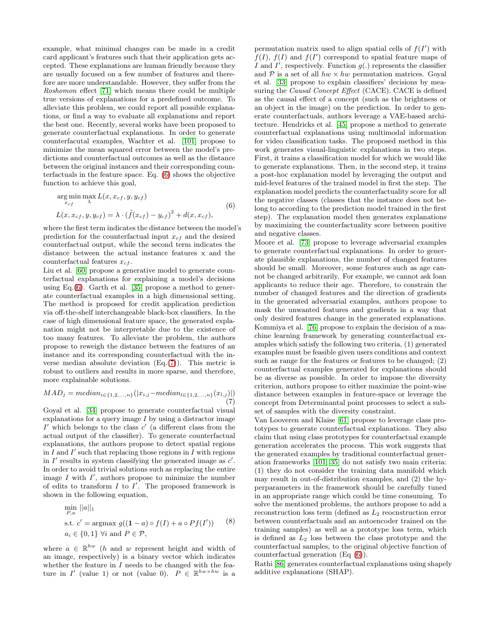example, what minimal changes can be made in a credit card applicant's features such that their application gets accepted. These explanations are human friendly because they are usually focused on a few number of features and therefore are more understandable. However, they suffer from the Roshomon effect [\[71\]](#page-14-18) which means there could be multiple true versions of explanations for a predefined outcome. To alleviate this problem, we could report all possible explanations, or find a way to evaluate all explanations and report the best one. Recently, several works have been proposed to generate counterfactual explanations. In order to generate counterfacutal examples, Wachter et al. [101] propose to minimize the mean squared error between the model's predictions and counterfactual outcomes as well as the distance between the original instances and their corresponding counterfactuals in the feature space. Eq. [\(6\)](#page-6-0) shows the objective function to achieve this goal,

<span id="page-6-0"></span>
$$
\argmin_{x_{cf}} \max_{\lambda} L(x, x_{cf}, y, y_{cf})
$$
  
\n
$$
L(x, x_{cf}, y, y_{cf}) = \lambda \cdot (\hat{f}(x_{cf}) - y_{cf})^2 + d(x, x_{cf}),
$$
\n(6)

where the first term indicates the distance between the model's prediction for the counterfactual input  $x_{cf}$  and the desired counterfactual output, while the second term indicates the distance between the actual instance features x and the counterfactual features  $x_{cf}$ .

Liu et al. [60] propose a generative model to generate counterfactual explanations for explaining a model's decisions using Eq. $(6)$ . Garth et al. [35] propose a method to generate counterfactual examples in a high dimensional setting. The method is proposed for credit application prediction via off-the-shelf interchangeable black-box classifiers. In the case of high dimensional feature space, the generated explanation might not be interpretable due to the existence of too many features. To alleviate the problem, the authors propose to reweigh the distance between the features of an instance and its corresponding counterfactual with the inverse median absolute deviation  $(Eq.(7))$  $(Eq.(7))$  $(Eq.(7))$ . This metric is robust to outliers and results in more sparse, and therefore, more explainable solutions.

<span id="page-6-1"></span>
$$
MAD_j = median_{i \in \{1, 2, ..., n\}}(|x_{i,j} - median_{l \in \{1, 2, ..., n\}}(x_{l,j})|)
$$
\n(7)

Goyal et al. [34] propose to generate counterfactual visual explanations for a query image  $I$  by using a distractor image  $I'$  which belongs to the class  $c'$  (a different class from the actual output of the classifier). To generate counterfactual explanations, the authors propose to detect spatial regions in  $I$  and  $I'$  such that replacing those regions in  $I$  with regions in  $I'$  results in system classifying the generated image as  $c'$ . In order to avoid trivial solutions such as replacing the entire image  $I$  with  $I'$ , authors propose to minimize the number of edits to transform  $I$  to  $I'$ . The proposed framework is shown in the following equation,

||a||<sup>1</sup>

$$
\min_{P,a} ||a||_1
$$
\n
$$
\text{s.t. } c' = \operatorname{argmax} g((1-a) \circ f(I) + a \circ Pf(I')) \quad (8)
$$
\n
$$
a_i \in \{0,1\} \,\forall i \text{ and } P \in \mathcal{P},
$$

where  $a \in \mathbb{R}^{hw}$  (*h* and *w* represent height and width of an image, respectively) is a binary vector which indicates whether the feature in  $I$  needs to be changed with the feature in I' (value 1) or not (value 0).  $P \in \mathbb{R}^{hw \times hw}$  is a

permutation matrix used to align spatial cells of  $f(I')$  with  $f(I), f(I)$  and  $f(I')$  correspond to spatial feature maps of I and I', respectively. Function  $g(.)$  represents the classifier and  $P$  is a set of all  $hw \times hw$  permutation matrices. Goyal et al. [33] propose to explain classifiers' decisions by measuring the *Causal Concept Effect* (CACE). CACE is defined as the causal effect of a concept (such as the brightness or an object in the image) on the prediction. In order to generate counterfactuals, authors leverage a VAE-based architecture. Hendricks et al. [45] propose a method to generate counterfactual explanations using multimodal information for video classification tasks. The proposed method in this work generates visual-linguistic explanations in two steps. First, it trains a classification model for which we would like to generate explanations. Then, in the second step, it trains a post-hoc explanation model by leveraging the output and mid-level features of the trained model in first the step. The explanation model predicts the counterfactuality score for all the negative classes (classes that the instance does not belong to according to the prediction model trained in the first step). The explanation model then generates explanations by maximizing the counterfactuality score between positive and negative classes.

Moore et al. [73] propose to leverage adversarial examples to generate counterfactual explanations. In order to generate plausible explanations, the number of changed features should be small. Moreover, some features such as age cannot be changed arbitrarily. For example, we cannot ask loan applicants to reduce their age. Therefore, to constrain the number of changed features and the direction of gradients in the generated adversarial examples, authors propose to mask the unwanted features and gradients in a way that only desired features change in the generated explanations. Kommiya et al. [76] propose to explain the decision of a machine learning framework by generating counterfactual examples which satisfy the following two criteria, (1) generated examples must be feasible given users conditions and context such as range for the features or features to be changed; (2) counterfactual examples generated for explanations should be as diverse as possible. In order to impose the diversity criterion, authors propose to either maximize the point-wise distance between examples in feature-space or leverage the concept from Determinantal point processes to select a subset of samples with the diversity constraint.

Van Looveren and Klaise [61] propose to leverage class prototypes to generate counterfactual explanations. They also claim that using class prototypes for counterfactual example generation accelerates the process. This work suggests that the generated examples by traditional counterfactual generation frameworks [101; 35] do not satisfy two main criteria: (1) they do not consider the training data manifold which may result in out-of-distribution examples, and (2) the hyperparameters in the framework should be carefully tuned in an appropriate range which could be time consuming. To solve the mentioned problems, the authors propose to add a reconstruction loss term (defined as  $L_2$  reocnstruction error between counterfactuals and an autoencoder trained on the training samples) as well as a prototype loss term, which is defined as  $L_2$  loss between the class prototype and the counterfactual samples, to the original objective function of counterfactual generation (Eq [\(6\)](#page-6-0)).

Rathi [86] generates counterfactual explanations using shapely additive explanations (SHAP).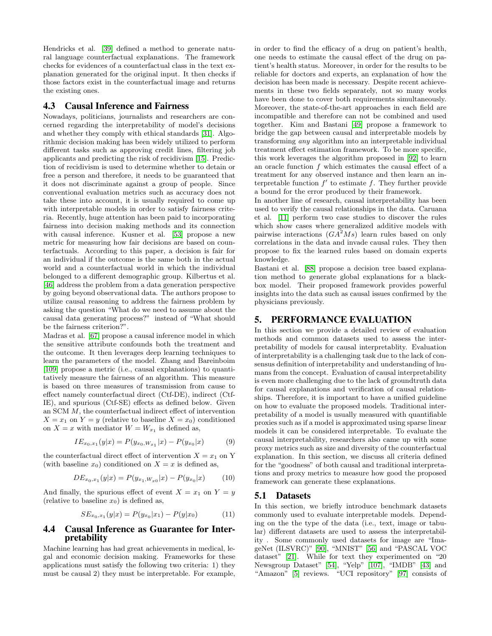Hendricks et al. [39] defined a method to generate natural language counterfactual explanations. The framework checks for evidences of a counterfactual class in the text explanation generated for the original input. It then checks if those factors exist in the counterfactual image and returns the existing ones.

## <span id="page-7-1"></span>4.3 Causal Inference and Fairness

Nowadays, politicians, journalists and researchers are concerned regarding the interpretability of model's decisions and whether they comply with ethical standards [\[31\]](#page-12-18). Algorithmic decision making has been widely utilized to perform different tasks such as approving credit lines, filtering job applicants and predicting the risk of recidivism [15]. Prediction of recidivism is used to determine whether to detain or free a person and therefore, it needs to be guaranteed that it does not discriminate against a group of people. Since conventional evaluation metrics such as accuracy does not take these into account, it is usually required to come up with interpretable models in order to satisfy fairness criteria. Recently, huge attention has been paid to incorporating fairness into decision making methods and its connection with causal inference. Kusner et al. [53] propose a new metric for measuring how fair decisions are based on counterfactuals. According to this paper, a decision is fair for an individual if the outcome is the same both in the actual world and a counterfactual world in which the individual belonged to a different demographic group. Kilbertus et al. [\[46\]](#page-13-15) address the problem from a data generation perspective by going beyond observational data. The authors propose to utilize causal reasoning to address the fairness problem by asking the question "What do we need to assume about the causal data generating process?" instead of "What should be the fairness criterion?".

Madras et al. [67] propose a causal inference model in which the sensitive attribute confounds both the treatment and the outcome. It then leverages deep learning techniques to learn the parameters of the model. Zhang and Bareinboim [\[109\]](#page-15-8) propose a metric (i.e., causal explanations) to quantitatively measure the fairness of an algorithm. This measure is based on three measures of transmission from cause to effect namely counterfactual direct (Ctf-DE), indirect (Ctf-IE), and spurious (Ctf-SE) effects as defined below. Given an SCM M, the counterfactual indirect effect of intervention  $X = x_1$  on  $Y = y$  (relative to baseline  $X = x_0$ ) conditioned on  $X = x$  with mediator  $W = W_{x_1}$  is defined as,

$$
IE_{x_0,x_1}(y|x) = P(y_{x_0,W_{x_1}}|x) - P(y_{x_0}|x)
$$
 (9)

the counterfactual direct effect of intervention  $X = x_1$  on Y (with baseline  $x_0$ ) conditioned on  $X = x$  is defined as,

$$
DE_{x_0,x_1}(y|x) = P(y_{x_1,W_{x_0}}|x) - P(y_{x_0}|x)
$$
 (10)

And finally, the spurious effect of event  $X = x_1$  on  $Y = y$ (relative to baseline  $x_0$ ) is defined as,

$$
SE_{x_0,x_1}(y|x) = P(y_{x_0}|x_1) - P(y|x_0)
$$
 (11)

#### 4.4 Causal Inference as Guarantee for Interpretability

Machine learning has had great achievements in medical, legal and economic decision making. Frameworks for these applications must satisfy the following two criteria: 1) they must be causal 2) they must be interpretable. For example,

in order to find the efficacy of a drug on patient's health, one needs to estimate the causal effect of the drug on patient's health status. Moreover, in order for the results to be reliable for doctors and experts, an explanation of how the decision has been made is necessary. Despite recent achievements in these two fields separately, not so many works have been done to cover both requirements simultaneously. Moreover, the state-of-the-art approaches in each field are incompatible and therefore can not be combined and used together. Kim and Bastani [49] propose a framework to bridge the gap between causal and interpretable models by transforming any algorithm into an interpretable individual treatment effect estimation framework. To be more specific, this work leverages the algorithm proposed in [\[92\]](#page-14-19) to learn an oracle function  $f$  which estimates the causal effect of a treatment for any observed instance and then learn an interpretable function  $f'$  to estimate  $f$ . They further provide a bound for the error produced by their framework.

In another line of research, causal interpretability has been used to verify the causal relationships in the data. Caruana et al. [\[11\]](#page-12-14) perform two case studies to discover the rules which show cases where generalized additive models with pairwise interactions  $(GA^2Ms)$  learn rules based on only correlations in the data and invade causal rules. They then propose to fix the learned rules based on domain experts knowledge.

Bastani et al. [\[88\]](#page-14-20) propose a decision tree based explanation method to generate global explanations for a blackbox model. Their proposed framework provides powerful insights into the data such as causal issues confirmed by the physicians previously.

#### <span id="page-7-0"></span>5. PERFORMANCE EVALUATION

In this section we provide a detailed review of evaluation methods and common datasets used to assess the interpretability of models for causal interpretablity. Evaluation of interpretability is a challenging task due to the lack of consensus definition of interpretability and understanding of humans from the concept. Evaluation of causal interpretability is even more challenging due to the lack of groundtruth data for causal explanations and verification of causal relationships. Therefore, it is important to have a unified guideline on how to evaluate the proposed models. Traditional interpretability of a model is usually measured with quantifiable proxies such as if a model is approximated using sparse linear models it can be considered interpretable. To evaluate the causal interpretability, researchers also came up with some proxy metrics such as size and diversity of the counterfactual explanation. In this section, we discuss all criteria defined for the "goodness" of both causal and traditional interpretations and proxy metrics to measure how good the proposed framework can generate these explanations.

#### 5.1 Datasets

In this section, we briefly introduce benchmark datasets commonly used to evaluate interpretable models. Depending on the the type of the data (i.e., text, image or tabular) different datasets are used to assess the interpretability . Some commonly used datasets for image are "ImageNet (ILSVRC)" [\[90\]](#page-14-21), "MNIST" [\[56\]](#page-13-16) and "PASCAL VOC dataset" [\[21\]](#page-12-19). While for text they experimented on "20 Newsgroup Dataset" [\[54\]](#page-13-17), "Yelp" [\[107\]](#page-15-9), "IMDB" [\[43\]](#page-13-18) and "Amazon" [\[5\]](#page-11-7) reviews. "UCI repository" [\[97\]](#page-14-22) consists of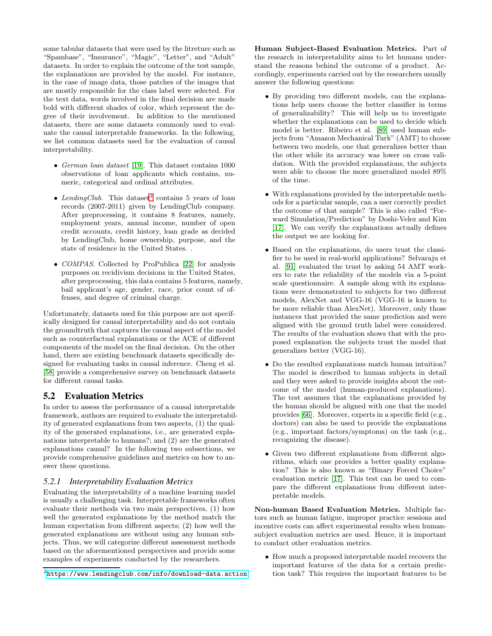some tabular datasets that were used by the litreture such as "Spambase", "Insurance", "Magic", "Letter", and "Adult" datasets. In order to explain the outcome of the test sample, the explanations are provided by the model. For instance, in the case of image data, those patches of the images that are mostly responsible for the class label were selected. For the text data, words involved in the final decision are made bold with different shades of color, which represent the degree of their involvement. In addition to the mentioned datasets, there are some datasets commonly used to evaluate the causal interpretable frameworks. In the following, we list common datasets used for the evaluation of causal interpretability.

- German loan dataset [\[19\]](#page-12-20). This dataset contains 1000 observations of loan applicants which contains, numeric, categorical and ordinal attributes.
- LendingClub. This dataset<sup>[2](#page-8-0)</sup> contains 5 years of loan records (2007-2011) given by LendingClub company. After preprocessing, it contains 8 features, namely, employment years, annual income, number of open credit accounts, credit history, loan grade as decided by LendingClub, home ownership, purpose, and the state of residence in the United States. .
- *COMPAS*. Collected by ProPublica [\[22\]](#page-12-21) for analysis purposes on recidivism decisions in the United States, after preprocessing, this data contains 5 features, namely, bail applicant's age, gender, race, prior count of offenses, and degree of criminal charge.

Unfortunately, datasets used for this purpose are not specifically designed for causal interpretability and do not contain the groundtruth that captures the causal aspect of the model such as counterfactual explanations or the ACE of different components of the model on the final decision. On the other hand, there are existing benchmark datasets specifically designed for evaluating tasks in causal inference. Cheng et al. [\[58\]](#page-13-19) provide a comprehensive survey on benchmark datasets for different causal tasks.

## 5.2 Evaluation Metrics

In order to assess the performance of a causal interpretable framework, authors are required to evaluate the interpretability of generated explanations from two aspects, (1) the quality of the generated explanations, i.e., are generated explanations interpretable to humans?; and (2) are the generated explanations causal? In the following two subsections, we provide comprehensive guidelines and metrics on how to answer these questions.

#### *5.2.1 Interpretability Evaluation Metrics*

Evaluating the interpretability of a machine learning model is usually a challenging task. Interpretable frameworks often evaluate their methods via two main perspectives, (1) how well the generated explanations by the method match the human expectation from different aspects; (2) how well the generated explanations are without using any human subjects. Thus, we will categorize different assessment methods based on the aforementioned perspectives and provide some examples of experiments conducted by the researchers.

Human Subject-Based Evaluation Metrics. Part of the research in interpretability aims to let humans understand the reasons behind the outcome of a product. Accordingly, experiments carried out by the researchers usually answer the following questions:

- By providing two different models, can the explanations help users choose the better classifier in terms of generalizability? This will help us to investigate whether the explanations can be used to decide which model is better. Ribeiro et al. [\[89\]](#page-14-5) used human subjects from "Amazon Mechanical Turk" (AMT) to choose between two models, one that generalizes better than the other while its accuracy was lower on cross validation. With the provided explanations, the subjects were able to choose the more generalized model 89% of the time.
- With explanations provided by the interpretable methods for a particular sample, can a user correctly predict the outcome of that sample? This is also called "Forward Simulation/Prediction" by Doshi-Velez and Kim [\[17\]](#page-12-3). We can verify the explanations actually defines the output we are looking for.
- Based on the explanations, do users trust the classifier to be used in real-world applications? Selvaraju et al. [\[91\]](#page-14-11) evaluated the trust by asking 54 AMT workers to rate the reliability of the models via a 5-point scale questionnaire. A sample along with its explanations were demonstrated to subjects for two different models, AlexNet and VGG-16 (VGG-16 is known to be more reliable than AlexNet). Moreover, only those instances that provided the same prediction and were aligned with the ground truth label were considered. The results of the evaluation shows that with the proposed explanation the subjects trust the model that generalizes better (VGG-16).
- Do the resulted explanations match human intuition? The model is described to human subjects in detail and they were asked to provide insights about the outcome of the model (human-produced explanations). The test assumes that the explanations provided by the human should be aligned with one that the model provides [\[66\]](#page-13-8). Moreover, experts in a specific field (e.g., doctors) can also be used to provide the explanations (e.g., important factors/symptoms) on the task (e.g., recognizing the disease).
- Given two different explanations from different algorithms, which one provides a better quality explanation? This is also known as "Binary Forced Choice" evaluation metric [\[17\]](#page-12-3). This test can be used to compare the different explanations from different interpretable models.

Non-human Based Evaluation Metrics. Multiple factors such as human fatigue, improper practice sessions and incentive costs can affect experimental results when humansubject evaluation metrics are used. Hence, it is important to conduct other evaluation metrics.

• How much a proposed interpretable model recovers the important features of the data for a certain prediction task? This requires the important features to be

<span id="page-8-0"></span> $^{2}$ <https://www.lendingclub.com/info/download-data.action>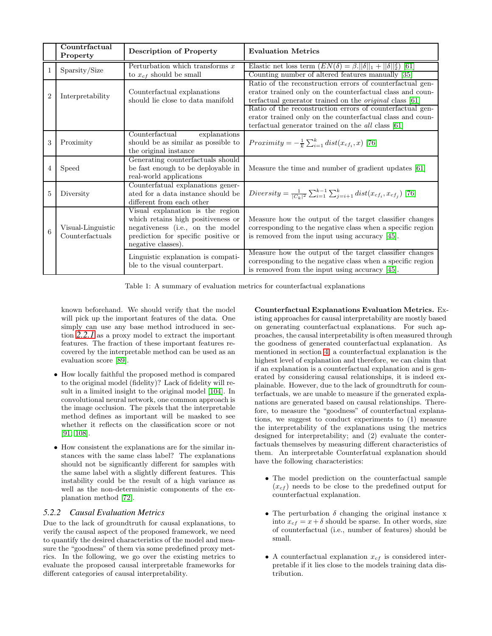|                | Countrfactual<br>Property            | <b>Description of Property</b>                                                                                                                                          | <b>Evaluation Metrics</b>                                                                                                                                                                                                                                                                                                                                                |
|----------------|--------------------------------------|-------------------------------------------------------------------------------------------------------------------------------------------------------------------------|--------------------------------------------------------------------------------------------------------------------------------------------------------------------------------------------------------------------------------------------------------------------------------------------------------------------------------------------------------------------------|
| 1              | Sparsity/Size                        | Perturbation which transforms $x$<br>to $x_{cf}$ should be small                                                                                                        | Elastic net loss term $(EN(\delta) = \beta.   \delta  _1 +   \delta  _2^2)$ [61]<br>Counting number of altered features manually [35]                                                                                                                                                                                                                                    |
| $\overline{2}$ | Interpretability                     | Counterfactual explanations<br>should lie close to data manifold                                                                                                        | Ratio of the reconstruction errors of counterfactual gen-<br>erator trained only on the counterfactual class and coun-<br>terfactual generator trained on the <i>original</i> class [61]<br>Ratio of the reconstruction errors of counterfactual gen-<br>erator trained only on the counterfactual class and coun-<br>terfactual generator trained on the all class [61] |
| 3              | Proximity                            | Counterfactual<br>explanations<br>should be as similar as possible to<br>the original instance                                                                          | Proximity $=-\frac{1}{k}\sum_{i=1}^{k} dist(x_{cf_i}, x)$ [76]                                                                                                                                                                                                                                                                                                           |
| $\overline{4}$ | Speed                                | Generating counterfactuals should<br>be fast enough to be deployable in<br>real-world applications                                                                      | Measure the time and number of gradient updates $ 61 $                                                                                                                                                                                                                                                                                                                   |
| 5              | Diversity                            | Counterfatual explanations gener-<br>ated for a data instance should be<br>different from each other                                                                    | Diversity = $\frac{1}{ C_k ^2} \sum_{i=1}^{k-1} \sum_{j=i+1}^{k} dist(x_{cf_i}, x_{cf_j})$ [76]                                                                                                                                                                                                                                                                          |
| 6              | Visual-Linguistic<br>Counterfactuals | Visual explanation is the region<br>which retains high positiveness or<br>negativeness (i.e., on the model<br>prediction for specific positive or<br>negative classes). | Measure how the output of the target classifier changes<br>corresponding to the negative class when a specific region<br>is removed from the input using accuracy $[45]$ .                                                                                                                                                                                               |
|                |                                      | Linguistic explanation is compati-<br>ble to the visual counterpart.                                                                                                    | Measure how the output of the target classifier changes<br>corresponding to the negative class when a specific region<br>is removed from the input using accuracy [45].                                                                                                                                                                                                  |

<span id="page-9-0"></span>Table 1: A summary of evaluation metrics for counterfactual explanations

known beforehand. We should verify that the model will pick up the important features of the data. One simply can use any base method introduced in section *[2.2.1](#page-1-4)* as a proxy model to extract the important features. The fraction of these important features recovered by the interpretable method can be used as an evaluation score [\[89\]](#page-14-5).

- How locally faithful the proposed method is compared to the original model (fidelity)? Lack of fidelity will result in a limited insight to the original model [\[104\]](#page-15-10). In convolutional neural network, one common approach is the image occlusion. The pixels that the interpretable method defines as important will be masked to see whether it reflects on the classification score or not [\[91;](#page-14-11) [108\]](#page-15-5).
- How consistent the explanations are for the similar instances with the same class label? The explanations should not be significantly different for samples with the same label with a slightly different features. This instability could be the result of a high variance as well as the non-deterministic components of the explanation method [\[72\]](#page-14-23).

#### *5.2.2 Causal Evaluation Metrics*

Due to the lack of groundtruth for causal explanations, to verify the causal aspect of the proposed framework, we need to quantify the desired characteristics of the model and measure the "goodness" of them via some predefined proxy metrics. In the following, we go over the existing metrics to evaluate the proposed causal interpretable frameworks for different categories of causal interpretability.

Counterfactual Explanations Evaluation Metrics. Existing approaches for causal interpretability are mostly based on generating counterfactual explanations. For such approaches, the causal interpretability is often measured through the goodness of generated counterfactual explanation. As mentioned in section [4,](#page-4-1) a counterfactual explanation is the highest level of explanation and therefore, we can claim that if an explanation is a counterfactual explanation and is generated by considering causal relationships, it is indeed explainable. However, due to the lack of groundtruth for counterfactuals, we are unable to measure if the generated explanations are generated based on causal relationships. Therefore, to measure the "goodness" of counterfactual explanations, we suggest to conduct experiments to (1) measure the interpretability of the explanations using the metrics designed for interpretability; and (2) evaluate the conterfactuals themselves by measuring different characteristics of them. An interpretable Counterfatual explanation should have the following characteristics:

- The model prediction on the counterfactual sample  $(x_{cf})$  needs to be close to the predefined output for counterfactual explanation.
- The perturbation  $\delta$  changing the original instance x into  $x_{cf} = x + \delta$  should be sparse. In other words, size of counterfactual (i.e., number of features) should be small.
- A counterfactual explanation  $x_{cf}$  is considered interpretable if it lies close to the models training data distribution.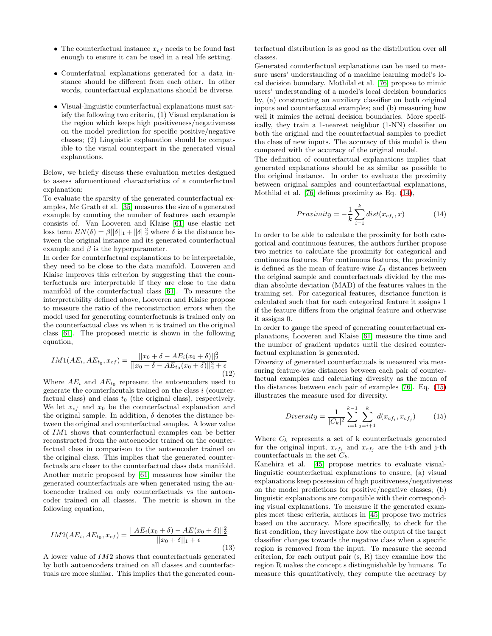- The counterfactual instance  $x_{cf}$  needs to be found fast enough to ensure it can be used in a real life setting.
- Counterfatual explanations generated for a data instance should be different from each other. In other words, counterfactual explanations should be diverse.
- Visual-linguistic counterfactual explanations must satisfy the following two criteria, (1) Visual explanation is the region which keeps high positiveness/negativeness on the model prediction for specific positive/negative classes; (2) Linguistic explanation should be compatible to the visual counterpart in the generated visual explanations.

Below, we briefly discuss these evaluation metrics designed to assess aformentioned characteristics of a counterfactual explanation:

To evaluate the sparsity of the generated counterfactual examples, Mc Grath et al. [35] measures the size of a generated example by counting the number of features each example consists of. Van Looveren and Klaise [61] use elastic net loss term  $EN(\delta) = \beta ||\delta||_1 + ||\delta||_2^2$  where  $\delta$  is the distance between the original instance and its generated counterfactual example and  $\beta$  is the hyperparameter.

In order for counterfactual explanations to be interpretable, they need to be close to the data manifold. Looveren and Klaise improves this criterion by suggesting that the counterfactuals are interpretable if they are close to the data manifold of the counterfactual class [61]. To measure the interpretability defined above, Looveren and Klaise propose to measure the ratio of the reconstruction errors when the model used for generating counterfactuals is trained only on the counterfactual class vs when it is trained on the original class [61]. The proposed metric is shown in the following equation,

$$
IM1(AE_i, AE_{t_0}, x_{cf}) = \frac{||x_0 + \delta - AE_i(x_0 + \delta)||_2^2}{||x_0 + \delta - AE_{t_0}(x_0 + \delta)||_2^2 + \epsilon}
$$
(12)

Where  $AE_i$  and  $AE_{t_0}$  represent the autoencoders used to generate the counterfacutals trained on the class i (counterfactual class) and class  $t_0$  (the original class), respectively. We let  $x_{cf}$  and  $x_0$  be the counterfactual explanation and the original sample. In addition,  $\delta$  denotes the distance between the original and counterfactual samples. A lower value of IM1 shows that counterfactual examples can be better reconstructed from the autoencoder trained on the counterfactual class in comparison to the autoencoder trained on the original class. This implies that the generated counterfactuals are closer to the counterfactual class data manifold. Another metric proposed by [61] measures how similar the generated counterfactuals are when generated using the autoencoder trained on only counterfactuals vs the autoencoder trained on all classes. The metric is shown in the following equation,

$$
IM2(AE_i, AE_{t_0}, x_{cf}) = \frac{||AE_i(x_0 + \delta) - AE(x_0 + \delta)||_2^2}{||x_0 + \delta||_1 + \epsilon}
$$
(13)

A lower value of IM2 shows that counterfactuals generated by both autoencoders trained on all classes and counterfactuals are more similar. This implies that the generated counterfactual distribution is as good as the distribution over all classes.

Generated counterfactual explanations can be used to measure users' understanding of a machine learning model's local decision boundary. Mothilal et al. [76] propose to mimic users' understanding of a model's local decision boundaries by, (a) constructing an auxiliary classifier on both original inputs and counterfactual examples; and (b) measuring how well it mimics the actual decision boundaries. More specifically, they train a 1-nearest neighbor (1-NN) classifier on both the original and the counterfactual samples to predict the class of new inputs. The accuracy of this model is then compared with the accuracy of the original model.

The definition of counterfactual explanations implies that generated explanations should be as similar as possible to the original instance. In order to evaluate the proximity between original samples and counterfactual explanations, Mothilal et al. [76] defines proximity as Eq. [\(14\)](#page-10-0),

$$
Proximity = -\frac{1}{k} \sum_{i=1}^{k} dist(x_{cf_i}, x)
$$
 (14)

<span id="page-10-0"></span>In order to be able to calculate the proximity for both categorical and continuous features, the authors further propose two metrics to calculate the proximity for categorical and continuous features. For continuous features, the proximity is defined as the mean of feature-wise  $L_1$  distances between the original sample and counterfactuals divided by the median absolute deviation (MAD) of the features values in the training set. For categorical features, disctance function is calculated such that for each categorical feature it assigns 1 if the feature differs from the original feature and otherwise it assigns 0.

In order to gauge the speed of generating counterfactual explanations, Looveren and Klaise [61] measure the time and the number of gradient updates until the desired counterfactual explanation is generated.

Diversity of generated counterfactuals is measured via measuring feature-wise distances between each pair of counterfactual examples and calculating diversity as the mean of the distances between each pair of examples [76]. Eq. [\(15\)](#page-10-1) illustrates the measure used for diversity.

<span id="page-10-1"></span>
$$
Diversity = \frac{1}{|C_k|^2} \sum_{i=1}^{k-1} \sum_{j=i+1}^{k} d(x_{cf_i}, x_{cf_j})
$$
(15)

Where  $C_k$  represents a set of k counterfactuals generated for the original input,  $x_{cf_i}$  and  $x_{cf_j}$  are the i-th and j-th counterfactuals in the set  $C_k$ .

Kanehira et al. [45] propose metrics to evaluate visuallinguistic counterfactual explanations to ensure, (a) visual explanations keep possession of high positiveness/negativeness on the model predictions for positive/negative classes; (b) linguistic explanations are compatible with their corresponding visual explanations. To measure if the generated examples meet these criteria, authors in [45] propose two metrics based on the accuracy. More specifically, to check for the first condition, they investigate how the output of the target classifier changes towards the negative class when a specific region is removed from the input. To measure the second criterion, for each output pair (s, R) they examine how the region R makes the concept s distinguishable by humans. To measure this quantitatively, they compute the accuracy by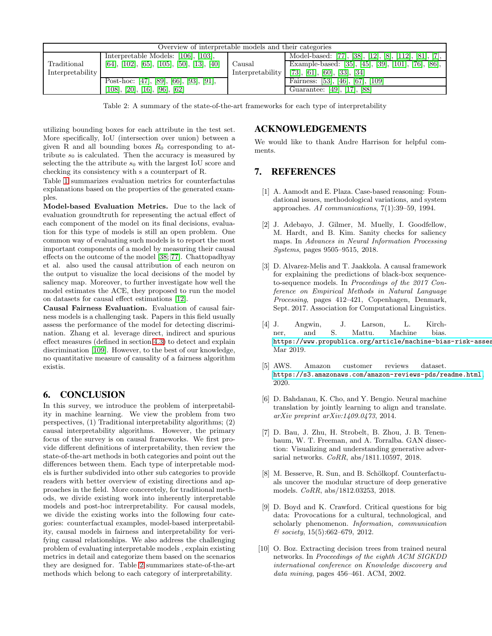| Overview of interpretable models and their categories |                                            |                            |                                                         |  |  |  |
|-------------------------------------------------------|--------------------------------------------|----------------------------|---------------------------------------------------------|--|--|--|
|                                                       | Interpretable Models: [106], [103],        |                            | Model-based: [77], [38], [12], [8], [112], [81], [7], 1 |  |  |  |
| Traditional                                           | [64], [102], [65], [105], [50], [13], [40] | Causal<br>Interpretability | Example-based: [35], [45], [39], [101], [76], [86],     |  |  |  |
| Interpretability                                      |                                            |                            | $[73]$ , [61], [60], [33], [34]                         |  |  |  |
|                                                       | Post-hoc: [47], [89], [66], [93], [91],    |                            | Fairness: $[53]$ , $[46]$ , $[67]$ , $[109]$            |  |  |  |
|                                                       | [108], [20], [16], [96], [62]              |                            | Guarantee: [49], [17], [88]                             |  |  |  |

<span id="page-11-8"></span>Table 2: A summary of the state-of-the-art frameworks for each type of interpretability

utilizing bounding boxes for each attribute in the test set. More specifically, IoU (intersection over union) between a given R and all bounding boxes  $R_0$  corresponding to attribute  $s_0$  is calculated. Then the accuracy is measured by selecting the the attribute  $s_0$  with the largest IoU score and checking its consistency with s a counterpart of R.

Table [1](#page-9-0) summarizes evaluation metrics for counterfactulas explanations based on the properties of the generated examples.

Model-based Evaluation Metrics. Due to the lack of evaluation groundtruth for representing the actual effect of each component of the model on its final decisions, evaluation for this type of models is still an open problem. One common way of evaluating such models is to report the most important components of a model by measuring their causal effects on the outcome of the model [38; 77]. Chattopadhyay et al. also used the causal attribution of each neuron on the output to visualize the local decisions of the model by saliency map. Moreover, to further investigate how well the model estimates the ACE, they proposed to run the model on datasets for causal effect estimations [12].

Causal Fairness Evaluation. Evaluation of causal fairness models is a challenging task. Papers in this field usually assess the performance of the model for detecting discrimination. Zhang et al. leverage direct, indirect and spurious effect measures (defined in section [4.3\)](#page-7-1) to detect and explain discrimination [\[109\]](#page-15-8). However, to the best of our knowledge, no quantitative measure of causality of a fairness algorithm existis.

## 6. CONCLUSION

In this survey, we introduce the problem of interpretability in machine learning. We view the problem from two perspectives, (1) Traditional interpretability algorithms; (2) causal interpretability algorithms. However, the primary focus of the survey is on causal frameworks. We first provide different definitions of interpretability, then review the state-of-the-art methods in both categories and point out the differences between them. Each type of interpretable models is further subdivided into other sub categories to provide readers with better overview of existing directions and approaches in the field. More conceretely, for traditional methods, we divide existing work into inherently interpretable models and post-hoc intrerpretability. For causal models, we divide the existing works into the following four categories: counterfactual examples, model-based interpretability, causal models in fairness and interpretability for verifying causal relationships. We also address the challenging problem of evaluating interpretable models , explain existing metrics in detail and categorize them based on the scenarios they are designed for. Table [2](#page-11-8) summarizes state-of-the-art methods which belong to each category of interpretability.

## ACKNOWLEDGEMENTS

We would like to thank Andre Harrison for helpful comments.

## <span id="page-11-4"></span>7. REFERENCES

- [1] A. Aamodt and E. Plaza. Case-based reasoning: Foundational issues, methodological variations, and system approaches. AI communications, 7(1):39–59, 1994.
- <span id="page-11-3"></span>[2] J. Adebayo, J. Gilmer, M. Muelly, I. Goodfellow, M. Hardt, and B. Kim. Sanity checks for saliency maps. In Advances in Neural Information Processing Systems, pages 9505–9515, 2018.
- <span id="page-11-6"></span>[3] D. Alvarez-Melis and T. Jaakkola. A causal framework for explaining the predictions of black-box sequenceto-sequence models. In Proceedings of the 2017 Conference on Empirical Methods in Natural Language Processing, pages 412–421, Copenhagen, Denmark, Sept. 2017. Association for Computational Linguistics.
- <span id="page-11-0"></span>[4] J. Angwin, J. Larson, L. Kirchner, and S. Mattu. Machine bias. https://www.propublica.org/article/machine-bias-risk-asses Mar 2019.
- <span id="page-11-7"></span>[5] AWS. Amazon customer reviews dataset. <https://s3.amazonaws.com/amazon-reviews-pds/readme.html>, 2020.
- <span id="page-11-2"></span>[6] D. Bahdanau, K. Cho, and Y. Bengio. Neural machine translation by jointly learning to align and translate. arXiv preprint arXiv:1409.0473, 2014.
- [7] D. Bau, J. Zhu, H. Strobelt, B. Zhou, J. B. Tenenbaum, W. T. Freeman, and A. Torralba. GAN dissection: Visualizing and understanding generative adversarial networks. CoRR, abs/1811.10597, 2018.
- [8] M. Besserve, R. Sun, and B. Schölkopf. Counterfactuals uncover the modular structure of deep generative models. CoRR, abs/1812.03253, 2018.
- <span id="page-11-1"></span>[9] D. Boyd and K. Crawford. Critical questions for big data: Provocations for a cultural, technological, and scholarly phenomenon. Information, communication  $&\text{ society}, 15(5):662-679, 2012.$
- <span id="page-11-5"></span>[10] O. Boz. Extracting decision trees from trained neural networks. In Proceedings of the eighth ACM SIGKDD international conference on Knowledge discovery and data mining, pages 456–461. ACM, 2002.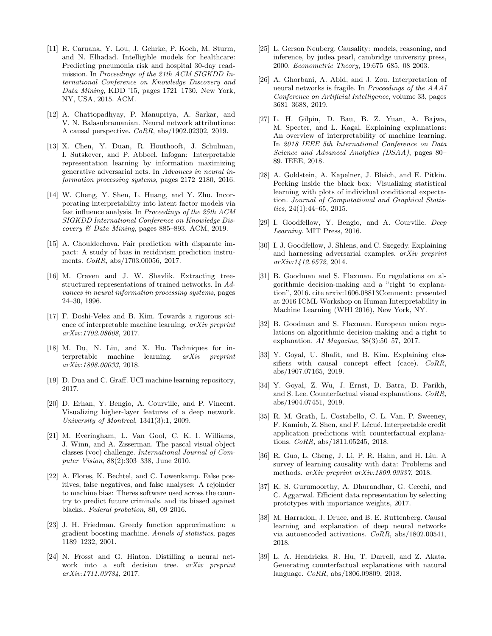- <span id="page-12-14"></span>[11] R. Caruana, Y. Lou, J. Gehrke, P. Koch, M. Sturm, and N. Elhadad. Intelligible models for healthcare: Predicting pneumonia risk and hospital 30-day readmission. In Proceedings of the 21th ACM SIGKDD International Conference on Knowledge Discovery and Data Mining, KDD '15, pages 1721–1730, New York, NY, USA, 2015. ACM.
- [12] A. Chattopadhyay, P. Manupriya, A. Sarkar, and V. N. Balasubramanian. Neural network attributions: A causal perspective. CoRR, abs/1902.02302, 2019.
- <span id="page-12-7"></span>[13] X. Chen, Y. Duan, R. Houthooft, J. Schulman, I. Sutskever, and P. Abbeel. Infogan: Interpretable representation learning by information maximizing generative adversarial nets. In Advances in neural information processing systems, pages 2172–2180, 2016.
- <span id="page-12-10"></span>[14] W. Cheng, Y. Shen, L. Huang, and Y. Zhu. Incorporating interpretability into latent factor models via fast influence analysis. In Proceedings of the 25th ACM SIGKDD International Conference on Knowledge Discovery & Data Mining, pages 885–893. ACM, 2019.
- [15] A. Chouldechova. Fair prediction with disparate impact: A study of bias in recidivism prediction instruments. CoRR, abs/1703.00056, 2017.
- <span id="page-12-12"></span>[16] M. Craven and J. W. Shavlik. Extracting treestructured representations of trained networks. In Advances in neural information processing systems, pages 24–30, 1996.
- <span id="page-12-3"></span>[17] F. Doshi-Velez and B. Kim. Towards a rigorous science of interpretable machine learning. arXiv preprint arXiv:1702.08608, 2017.
- <span id="page-12-5"></span>[18] M. Du, N. Liu, and X. Hu. Techniques for in-<br>terpretable machine learning.  $arXiv$  preprint terpretable machine learning. arXiv preprint arXiv:1808.00033, 2018.
- <span id="page-12-20"></span><span id="page-12-11"></span>[19] D. Dua and C. Graff. UCI machine learning repository, 2017.
- [20] D. Erhan, Y. Bengio, A. Courville, and P. Vincent. Visualizing higher-layer features of a deep network. University of Montreal, 1341(3):1, 2009.
- <span id="page-12-19"></span>[21] M. Everingham, L. Van Gool, C. K. I. Williams, J. Winn, and A. Zisserman. The pascal visual object classes (voc) challenge. International Journal of Computer Vision, 88(2):303–338, June 2010.
- <span id="page-12-21"></span>[22] A. Flores, K. Bechtel, and C. Lowenkamp. False positives, false negatives, and false analyses: A rejoinder to machine bias: Theres software used across the country to predict future criminals. and its biased against blacks.. Federal probation, 80, 09 2016.
- <span id="page-12-16"></span>[23] J. H. Friedman. Greedy function approximation: a gradient boosting machine. Annals of statistics, pages 1189–1232, 2001.
- <span id="page-12-13"></span>[24] N. Frosst and G. Hinton. Distilling a neural network into a soft decision tree. arXiv preprint arXiv:1711.09784, 2017.
- <span id="page-12-2"></span>[25] L. Gerson Neuberg. Causality: models, reasoning, and inference, by judea pearl, cambridge university press, 2000. Econometric Theory, 19:675–685, 08 2003.
- <span id="page-12-8"></span>[26] A. Ghorbani, A. Abid, and J. Zou. Interpretation of neural networks is fragile. In Proceedings of the AAAI Conference on Artificial Intelligence, volume 33, pages 3681–3688, 2019.
- <span id="page-12-4"></span>[27] L. H. Gilpin, D. Bau, B. Z. Yuan, A. Bajwa, M. Specter, and L. Kagal. Explaining explanations: An overview of interpretability of machine learning. In 2018 IEEE 5th International Conference on Data Science and Advanced Analytics (DSAA), pages 80– 89. IEEE, 2018.
- <span id="page-12-17"></span>[28] A. Goldstein, A. Kapelner, J. Bleich, and E. Pitkin. Peeking inside the black box: Visualizing statistical learning with plots of individual conditional expectation. Journal of Computational and Graphical Statistics,  $24(1):44-65$ ,  $2015$ .
- <span id="page-12-6"></span>[29] I. Goodfellow, Y. Bengio, and A. Courville. Deep Learning. MIT Press, 2016.
- <span id="page-12-1"></span>[30] I. J. Goodfellow, J. Shlens, and C. Szegedy. Explaining and harnessing adversarial examples. arXiv preprint arXiv:1412.6572, 2014.
- <span id="page-12-18"></span>[31] B. Goodman and S. Flaxman. Eu regulations on algorithmic decision-making and a "right to explanation", 2016. cite arxiv:1606.08813Comment: presented at 2016 ICML Workshop on Human Interpretability in Machine Learning (WHI 2016), New York, NY.
- <span id="page-12-0"></span>[32] B. Goodman and S. Flaxman. European union regulations on algorithmic decision-making and a right to explanation. AI Magazine, 38(3):50–57, 2017.
- [33] Y. Goyal, U. Shalit, and B. Kim. Explaining classifiers with causal concept effect (cace). CoRR, abs/1907.07165, 2019.
- [34] Y. Goyal, Z. Wu, J. Ernst, D. Batra, D. Parikh, and S. Lee. Counterfactual visual explanations. CoRR, abs/1904.07451, 2019.
- [35] R. M. Grath, L. Costabello, C. L. Van, P. Sweeney, F. Kamiab, Z. Shen, and F. Lécué. Interpretable credit application predictions with counterfactual explanations. CoRR, abs/1811.05245, 2018.
- <span id="page-12-15"></span>[36] R. Guo, L. Cheng, J. Li, P. R. Hahn, and H. Liu. A survey of learning causality with data: Problems and methods. arXiv preprint arXiv:1809.09337, 2018.
- <span id="page-12-9"></span>[37] K. S. Gurumoorthy, A. Dhurandhar, G. Cecchi, and C. Aggarwal. Efficient data representation by selecting prototypes with importance weights, 2017.
- [38] M. Harradon, J. Druce, and B. E. Ruttenberg. Causal learning and explanation of deep neural networks via autoencoded activations. CoRR, abs/1802.00541, 2018.
- [39] L. A. Hendricks, R. Hu, T. Darrell, and Z. Akata. Generating counterfactual explanations with natural language. CoRR, abs/1806.09809, 2018.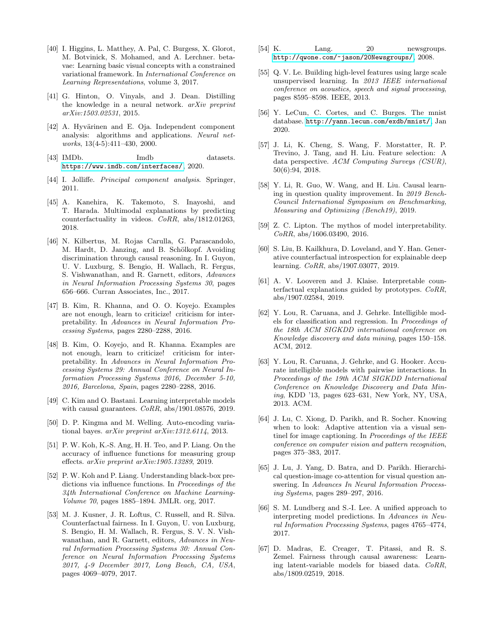- <span id="page-13-7"></span>[40] I. Higgins, L. Matthey, A. Pal, C. Burgess, X. Glorot, M. Botvinick, S. Mohamed, and A. Lerchner. betavae: Learning basic visual concepts with a constrained variational framework. In International Conference on Learning Representations, volume 3, 2017.
- <span id="page-13-12"></span>[41] G. Hinton, O. Vinyals, and J. Dean. Distilling the knowledge in a neural network. arXiv preprint arXiv:1503.02531, 2015.
- <span id="page-13-5"></span>[42] A. Hyvärinen and E. Oja. Independent component analysis: algorithms and applications. Neural networks, 13(4-5):411–430, 2000.
- <span id="page-13-18"></span>[43] IMDb. Imdb datasets. <https://www.imdb.com/interfaces/>, 2020.
- <span id="page-13-4"></span>[44] I. Jolliffe. Principal component analysis. Springer, 2011.
- [45] A. Kanehira, K. Takemoto, S. Inayoshi, and T. Harada. Multimodal explanations by predicting counterfactuality in videos. CoRR, abs/1812.01263, 2018.
- <span id="page-13-15"></span>[46] N. Kilbertus, M. Rojas Carulla, G. Parascandolo, M. Hardt, D. Janzing, and B. Schölkopf. Avoiding discrimination through causal reasoning. In I. Guyon, U. V. Luxburg, S. Bengio, H. Wallach, R. Fergus, S. Vishwanathan, and R. Garnett, editors, Advances in Neural Information Processing Systems 30, pages 656–666. Curran Associates, Inc., 2017.
- <span id="page-13-0"></span>[47] B. Kim, R. Khanna, and O. O. Koyejo. Examples are not enough, learn to criticize! criticism for interpretability. In Advances in Neural Information Processing Systems, pages 2280–2288, 2016.
- [48] B. Kim, O. Koyejo, and R. Khanna. Examples are not enough, learn to criticize! criticism for interpretability. In Advances in Neural Information Processing Systems 29: Annual Conference on Neural Information Processing Systems 2016, December 5-10, 2016, Barcelona, Spain, pages 2280–2288, 2016.
- [49] C. Kim and O. Bastani. Learning interpretable models with causal guarantees.  $CoRR$ , abs/1901.08576, 2019.
- <span id="page-13-6"></span>[50] D. P. Kingma and M. Welling. Auto-encoding variational bayes. arXiv preprint arXiv:1312.6114, 2013.
- <span id="page-13-10"></span>[51] P. W. Koh, K.-S. Ang, H. H. Teo, and P. Liang. On the accuracy of influence functions for measuring group effects. arXiv preprint arXiv:1905.13289, 2019.
- <span id="page-13-9"></span>[52] P. W. Koh and P. Liang. Understanding black-box predictions via influence functions. In Proceedings of the 34th International Conference on Machine Learning-Volume 70, pages 1885–1894. JMLR. org, 2017.
- [53] M. J. Kusner, J. R. Loftus, C. Russell, and R. Silva. Counterfactual fairness. In I. Guyon, U. von Luxburg, S. Bengio, H. M. Wallach, R. Fergus, S. V. N. Vishwanathan, and R. Garnett, editors, Advances in Neural Information Processing Systems 30: Annual Conference on Neural Information Processing Systems 2017, 4-9 December 2017, Long Beach, CA, USA, pages 4069–4079, 2017.
- <span id="page-13-17"></span>[54] K. Lang. 20 newsgroups. <http://qwone.com/~jason/20Newsgroups/>, 2008.
- <span id="page-13-11"></span>[55] Q. V. Le. Building high-level features using large scale unsupervised learning. In 2013 IEEE international conference on acoustics, speech and signal processing, pages 8595–8598. IEEE, 2013.
- <span id="page-13-16"></span>[56] Y. LeCun, C. Cortes, and C. Burges. The mnist database. <http://yann.lecun.com/exdb/mnist/>, Jan 2020.
- <span id="page-13-1"></span>[57] J. Li, K. Cheng, S. Wang, F. Morstatter, R. P. Trevino, J. Tang, and H. Liu. Feature selection: A data perspective. ACM Computing Surveys (CSUR), 50(6):94, 2018.
- <span id="page-13-19"></span>[58] Y. Li, R. Guo, W. Wang, and H. Liu. Causal learning in question quality improvement. In 2019 Bench-Council International Symposium on Benchmarking, Measuring and Optimizing (Bench19), 2019.
- [59] Z. C. Lipton. The mythos of model interpretability. CoRR, abs/1606.03490, 2016.
- [60] S. Liu, B. Kailkhura, D. Loveland, and Y. Han. Generative counterfactual introspection for explainable deep learning. CoRR, abs/1907.03077, 2019.
- [61] A. V. Looveren and J. Klaise. Interpretable counterfactual explanations guided by prototypes. CoRR, abs/1907.02584, 2019.
- <span id="page-13-13"></span>[62] Y. Lou, R. Caruana, and J. Gehrke. Intelligible models for classification and regression. In Proceedings of the 18th ACM SIGKDD international conference on Knowledge discovery and data mining, pages 150–158. ACM, 2012.
- <span id="page-13-14"></span>[63] Y. Lou, R. Caruana, J. Gehrke, and G. Hooker. Accurate intelligible models with pairwise interactions. In Proceedings of the 19th ACM SIGKDD International Conference on Knowledge Discovery and Data Mining, KDD '13, pages 623–631, New York, NY, USA, 2013. ACM.
- <span id="page-13-2"></span>[64] J. Lu, C. Xiong, D. Parikh, and R. Socher. Knowing when to look: Adaptive attention via a visual sentinel for image captioning. In Proceedings of the IEEE conference on computer vision and pattern recognition, pages 375–383, 2017.
- <span id="page-13-3"></span>[65] J. Lu, J. Yang, D. Batra, and D. Parikh. Hierarchical question-image co-attention for visual question answering. In Advances In Neural Information Processing Systems, pages 289–297, 2016.
- <span id="page-13-8"></span>[66] S. M. Lundberg and S.-I. Lee. A unified approach to interpreting model predictions. In Advances in Neural Information Processing Systems, pages 4765–4774, 2017.
- [67] D. Madras, E. Creager, T. Pitassi, and R. S. Zemel. Fairness through causal awareness: Learning latent-variable models for biased data. CoRR, abs/1809.02519, 2018.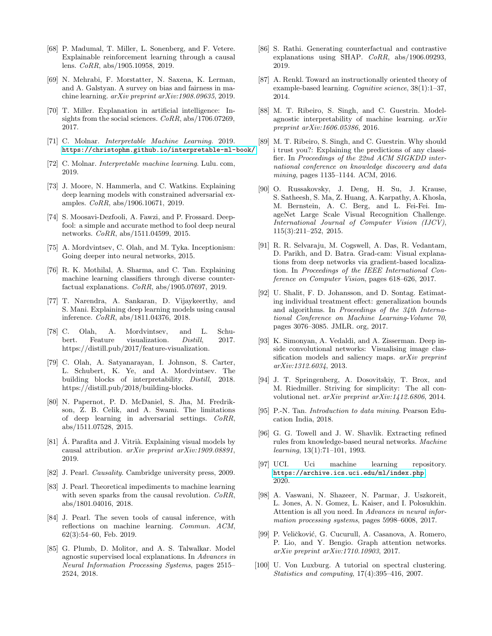- [68] P. Madumal, T. Miller, L. Sonenberg, and F. Vetere. Explainable reinforcement learning through a causal lens. CoRR, abs/1905.10958, 2019.
- <span id="page-14-0"></span>[69] N. Mehrabi, F. Morstatter, N. Saxena, K. Lerman, and A. Galstyan. A survey on bias and fairness in machine learning. arXiv preprint arXiv:1908.09635, 2019.
- [70] T. Miller. Explanation in artificial intelligence: Insights from the social sciences.  $CoRR$ ,  $abs/1706.07269$ , 2017.
- <span id="page-14-18"></span>[71] C. Molnar. Interpretable Machine Learning. 2019. <https://christophm.github.io/interpretable-ml-book/>.
- <span id="page-14-23"></span>[72] C. Molnar. Interpretable machine learning. Lulu. com, 2019.
- [73] J. Moore, N. Hammerla, and C. Watkins. Explaining deep learning models with constrained adversarial examples. CoRR, abs/1906.10671, 2019.
- [74] S. Moosavi-Dezfooli, A. Fawzi, and P. Frossard. Deepfool: a simple and accurate method to fool deep neural networks. CoRR, abs/1511.04599, 2015.
- <span id="page-14-1"></span>[75] A. Mordvintsev, C. Olah, and M. Tyka. Inceptionism: Going deeper into neural networks, 2015.
- [76] R. K. Mothilal, A. Sharma, and C. Tan. Explaining machine learning classifiers through diverse counterfactual explanations.  $CoRR$ , abs/1905.07697, 2019.
- [77] T. Narendra, A. Sankaran, D. Vijaykeerthy, and S. Mani. Explaining deep learning models using causal inference. CoRR, abs/1811.04376, 2018.
- <span id="page-14-14"></span>[78] C. Olah, A. Mordvintsev, and L. Schubert. Feature visualization. *Distill*, 2017. https://distill.pub/2017/feature-visualization.
- <span id="page-14-13"></span>[79] C. Olah, A. Satyanarayan, I. Johnson, S. Carter, L. Schubert, K. Ye, and A. Mordvintsev. The building blocks of interpretability. Distill, 2018. https://distill.pub/2018/building-blocks.
- [80] N. Papernot, P. D. McDaniel, S. Jha, M. Fredrikson, Z. B. Celik, and A. Swami. The limitations of deep learning in adversarial settings. CoRR, abs/1511.07528, 2015.
- <span id="page-14-17"></span>[81] Á. Parafita and J. Vitrià. Explaining visual models by causal attribution. arXiv preprint arXiv:1909.08891, 2019.
- <span id="page-14-16"></span>[82] J. Pearl. Causality. Cambridge university press, 2009.
- [83] J. Pearl. Theoretical impediments to machine learning with seven sparks from the causal revolution. CoRR, abs/1801.04016, 2018.
- <span id="page-14-3"></span>[84] J. Pearl. The seven tools of causal inference, with reflections on machine learning. Commun. ACM, 62(3):54–60, Feb. 2019.
- <span id="page-14-2"></span>[85] G. Plumb, D. Molitor, and A. S. Talwalkar. Model agnostic supervised local explanations. In Advances in Neural Information Processing Systems, pages 2515– 2524, 2018.
- [86] S. Rathi. Generating counterfactual and contrastive explanations using SHAP. CoRR, abs/1906.09293, 2019.
- <span id="page-14-12"></span>[87] A. Renkl. Toward an instructionally oriented theory of example-based learning. Cognitive science, 38(1):1–37, 2014.
- <span id="page-14-20"></span>[88] M. T. Ribeiro, S. Singh, and C. Guestrin. Modelagnostic interpretability of machine learning. arXiv preprint arXiv:1606.05386, 2016.
- <span id="page-14-5"></span>[89] M. T. Ribeiro, S. Singh, and C. Guestrin. Why should i trust you?: Explaining the predictions of any classifier. In Proceedings of the 22nd ACM SIGKDD international conference on knowledge discovery and data mining, pages 1135–1144. ACM, 2016.
- <span id="page-14-21"></span>[90] O. Russakovsky, J. Deng, H. Su, J. Krause, S. Satheesh, S. Ma, Z. Huang, A. Karpathy, A. Khosla, M. Bernstein, A. C. Berg, and L. Fei-Fei. ImageNet Large Scale Visual Recognition Challenge. International Journal of Computer Vision (IJCV), 115(3):211–252, 2015.
- <span id="page-14-11"></span>[91] R. R. Selvaraju, M. Cogswell, A. Das, R. Vedantam, D. Parikh, and D. Batra. Grad-cam: Visual explanations from deep networks via gradient-based localization. In Proceedings of the IEEE International Conference on Computer Vision, pages 618–626, 2017.
- <span id="page-14-19"></span>[92] U. Shalit, F. D. Johansson, and D. Sontag. Estimating individual treatment effect: generalization bounds and algorithms. In Proceedings of the 34th International Conference on Machine Learning-Volume 70, pages 3076–3085. JMLR. org, 2017.
- <span id="page-14-9"></span>[93] K. Simonyan, A. Vedaldi, and A. Zisserman. Deep inside convolutional networks: Visualising image classification models and saliency maps. *arXiv preprint* arXiv:1312.6034, 2013.
- <span id="page-14-10"></span>[94] J. T. Springenberg, A. Dosovitskiy, T. Brox, and M. Riedmiller. Striving for simplicity: The all convolutional net. arXiv preprint arXiv:1412.6806, 2014.
- <span id="page-14-4"></span>[95] P.-N. Tan. Introduction to data mining. Pearson Education India, 2018.
- <span id="page-14-15"></span>[96] G. G. Towell and J. W. Shavlik. Extracting refined rules from knowledge-based neural networks. Machine learning, 13(1):71–101, 1993.
- <span id="page-14-22"></span>[97] UCI. Uci machine learning repository. <https://archive.ics.uci.edu/ml/index.php>, 2020.
- <span id="page-14-7"></span>[98] A. Vaswani, N. Shazeer, N. Parmar, J. Uszkoreit, L. Jones, A. N. Gomez, L. Kaiser, and I. Polosukhin. Attention is all you need. In Advances in neural information processing systems, pages 5998–6008, 2017.
- <span id="page-14-6"></span>[99] P. Veličković, G. Cucurull, A. Casanova, A. Romero, P. Lio, and Y. Bengio. Graph attention networks. arXiv preprint arXiv:1710.10903, 2017.
- <span id="page-14-8"></span>[100] U. Von Luxburg. A tutorial on spectral clustering. Statistics and computing, 17(4):395–416, 2007.